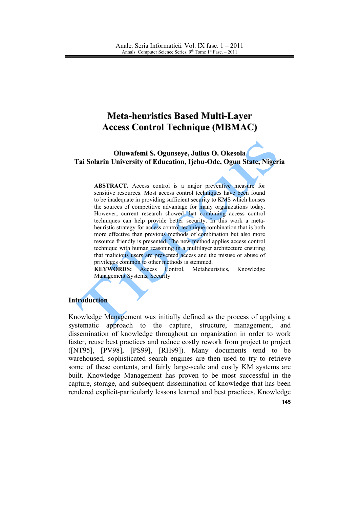# **Meta-heuristics Based Multi-Layer Access Control Technique (MBMAC)**

Oluwafemi S. Ogunseye, Julius O. Okesola Tai Solarin University of Education, Ijebu-Ode, Ogun State, Nigeria

ABSTRACT. Access control is a major preventive measure for sensitive resources. Most access control techniques have been found to be inadequate in providing sufficient security to KMS which houses the sources of competitive advantage for many organizations today. However, current research showed that combining access control techniques can help provide better security. In this work a metaheuristic strategy for access control technique combination that is both more effective than previous methods of combination but also more resource friendly is presented. The new method applies access control technique with human reasoning in a multilayer architecture ensuring that malicious users are prevented access and the misuse or abuse of privileges common to other methods is stemmed.

**KEYWORDS:** Access Control. Metaheuristics. Knowledge **Management Systems, Security** 

#### **Introduction**

Knowledge Management was initially defined as the process of applying a systematic approach to the capture, structure, management, and dissemination of knowledge throughout an organization in order to work faster, reuse best practices and reduce costly rework from project to project ([NT95], [PV98], [PS99], [RH99]). Many documents tend to be warehoused, sophisticated search engines are then used to try to retrieve some of these contents, and fairly large-scale and costly KM systems are built. Knowledge Management has proven to be most successful in the capture, storage, and subsequent dissemination of knowledge that has been rendered explicit-particularly lessons learned and best practices. Knowledge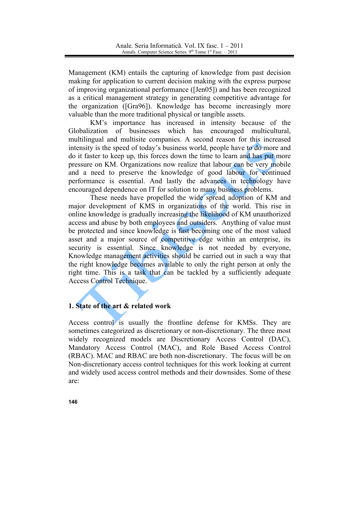Management (KM) entails the capturing of knowledge from past decision making for application to current decision making with the express purpose of improving organizational performance ([Jen05]) and has been recognized as a critical management strategy in generating competitive advantage for the organization ([Gra96]). Knowledge has become increasingly more valuable than the more traditional physical or tangible assets.

KM's importance has increased in intensity because of the Globalization of businesses which has encouraged multicultural, multilingual and multisite companies. A second reason for this increased intensity is the speed of today's business world, people have to do more and do it faster to keep up, this forces down the time to learn and has put more pressure on KM. Organizations now realize that labour can be very mobile and a need to preserve the knowledge of good labour for continued performance is essential. And lastly the advances in technology have encouraged dependence on IT for solution to many business problems.

These needs have propelled the wide spread adoption of KM and major development of KMS in organizations of the world. This rise in online knowledge is gradually increasing the likelihood of KM unauthorized access and abuse by both employees and outsiders. Anything of value must be protected and since knowledge is fast becoming one of the most valued asset and a major source of competitive edge within an enterprise, its security is essential. Since knowledge is not needed by everyone, Knowledge management activities should be carried out in such a way that the right knowledge becomes available to only the right person at only the right time. This is a task that can be tackled by a sufficiently adequate Access Control Technique.

## 1. State of the art & related work

Access control is usually the frontline defense for KMSs. They are sometimes categorized as discretionary or non-discretionary. The three most widely recognized models are Discretionary Access Control (DAC), Mandatory Access Control (MAC), and Role Based Access Control (RBAC). MAC and RBAC are both non-discretionary. The focus will be on Non-discretionary access control techniques for this work looking at current and widely used access control methods and their downsides. Some of these are: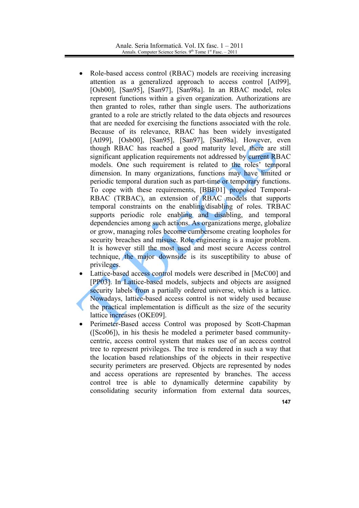- Role-based access control (RBAC) models are receiving increasing attention as a generalized approach to access control [Atl99], [Osb00], [San95], [San97], [San98a]. In an RBAC model, roles represent functions within a given organization. Authorizations are then granted to roles, rather than single users. The authorizations granted to a role are strictly related to the data objects and resources that are needed for exercising the functions associated with the role. Because of its relevance, RBAC has been widely investigated [Atl99], [Osb00], [San95], [San97], [San98a]. However, even though RBAC has reached a good maturity level, there are still significant application requirements not addressed by current RBAC models. One such requirement is related to the roles' temporal dimension. In many organizations, functions may have limited or periodic temporal duration such as part-time or temporary functions. To cope with these requirements, [BBF01] proposed Temporal-RBAC (TRBAC), an extension of RBAC models that supports temporal constraints on the enabling/disabling of roles. TRBAC supports periodic role enabling and disabling, and temporal dependencies among such actions. As organizations merge, globalize or grow, managing roles become cumbersome creating loopholes for security breaches and misuse. Role engineering is a major problem. It is however still the most used and most secure Access control technique, the major downside is its susceptibility to abuse of privileges.
- Lattice-based access control models were described in [McC00] and [PP03]. In Lattice-based models, subjects and objects are assigned security labels from a partially ordered universe, which is a lattice. Nowadays, lattice-based access control is not widely used because the practical implementation is difficult as the size of the security lattice increases (OKE09].
- Perimeter-Based access Control was proposed by Scott-Chapman ([Sco06]), in his thesis he modeled a perimeter based communitycentric, access control system that makes use of an access control tree to represent privileges. The tree is rendered in such a way that the location based relationships of the objects in their respective security perimeters are preserved. Objects are represented by nodes and access operations are represented by branches. The access control tree is able to dynamically determine capability by consolidating security information from external data sources,
	- 147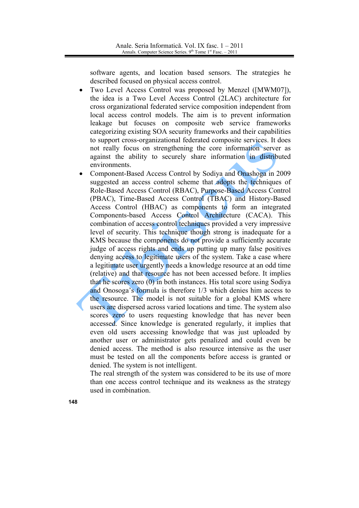software agents, and location based sensors. The strategies he described focused on physical access control.

- Two Level Access Control was proposed by Menzel ([MWM07]), the idea is a Two Level Access Control (2LAC) architecture for cross organizational federated service composition independent from local access control models. The aim is to prevent information leakage but focuses on composite web service frameworks categorizing existing SOA security frameworks and their capabilities to support cross-organizational federated composite services. It does not really focus on strengthening the core information server as against the ability to securely share information in distributed environments.
- Component-Based Access Control by Sodiya and Onashoga in 2009 suggested an access control scheme that adopts the techniques of Role-Based Access Control (RBAC), Purpose-Based Access Control (PBAC), Time-Based Access Control (TBAC) and History-Based Access Control (HBAC) as components to form an integrated Components-based Access Control Architecture (CACA). This combination of access control techniques provided a very impressive level of security. This technique though strong is inadequate for a KMS because the components do not provide a sufficiently accurate judge of access rights and ends up putting up many false positives denying access to legitimate users of the system. Take a case where a legitimate user urgently needs a knowledge resource at an odd time (relative) and that resource has not been accessed before. It implies that he scores zero  $(0)$  in both instances. His total score using Sodiya and Onosoga's formula is therefore 1/3 which denies him access to the resource. The model is not suitable for a global KMS where users are dispersed across varied locations and time. The system also scores zero to users requesting knowledge that has never been accessed. Since knowledge is generated regularly, it implies that even old users accessing knowledge that was just uploaded by another user or administrator gets penalized and could even be denied access. The method is also resource intensive as the user must be tested on all the components before access is granted or denied. The system is not intelligent.

The real strength of the system was considered to be its use of more than one access control technique and its weakness as the strategy used in combination.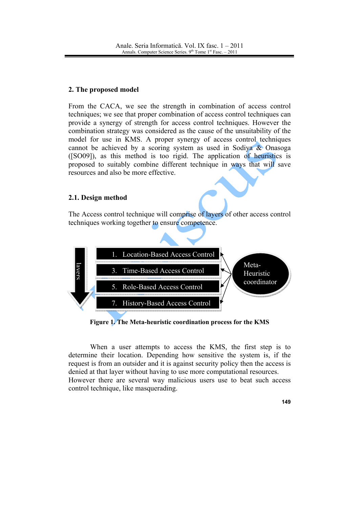## 2. The proposed model

From the CACA, we see the strength in combination of access control techniques; we see that proper combination of access control techniques can provide a synergy of strength for access control techniques. However the combination strategy was considered as the cause of the unsuitability of the model for use in KMS. A proper synergy of access control techniques cannot be achieved by a scoring system as used in Sodiya & Onasoga ([SO09]), as this method is too rigid. The application of heuristics is proposed to suitably combine different technique in ways that will save resources and also be more effective.

### 2.1. Design method

The Access control technique will comprise of layers of other access control techniques working together to ensure competence.



Figure 1. The Meta-heuristic coordination process for the KMS

When a user attempts to access the KMS, the first step is to determine their location. Depending how sensitive the system is, if the request is from an outsider and it is against security policy then the access is denied at that layer without having to use more computational resources. However there are several way malicious users use to beat such access control technique, like masquerading.

149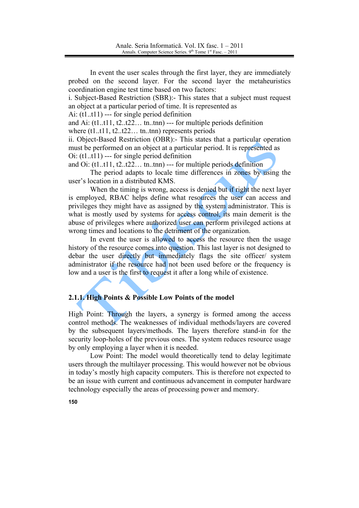In event the user scales through the first layer, they are immediately probed on the second layer. For the second layer the metaheuristics coordination engine test time based on two factors:

i. Subject-Based Restriction (SBR):- This states that a subject must request an object at a particular period of time. It is represented as

Ai:  $(t1..t11)$  --- for single period definition

and Ai:  $(t1..t11, t2..t22...$  tn..tnn) --- for multiple periods definition

where  $(t1..t11, t2..t22...$  tn.tnn) represents periods

ii. Object-Based Restriction (OBR):- This states that a particular operation must be performed on an object at a particular period. It is represented as  $O$ i: (t1..t11) --- for single period definition

and Oi: (t1..t11, t2..t22... tn..tnn) --- for multiple periods definition

The period adapts to locale time differences in zones by using the user's location in a distributed KMS.

When the timing is wrong, access is denied but if right the next layer is employed, RBAC helps define what resources the user can access and privileges they might have as assigned by the system administrator. This is what is mostly used by systems for access control, its main demerit is the abuse of privileges where authorized user can perform privileged actions at wrong times and locations to the detriment of the organization.

In event the user is allowed to access the resource then the usage history of the resource comes into question. This last layer is not designed to debar the user directly but immediately flags the site officer/ system administrator if the resource had not been used before or the frequency is low and a user is the first to request it after a long while of existence.

### 2.1.1. High Points & Possible Low Points of the model

High Point: Through the layers, a synergy is formed among the access control methods. The weaknesses of individual methods/layers are covered by the subsequent layers/methods. The layers therefore stand-in for the security loop-holes of the previous ones. The system reduces resource usage by only employing a layer when it is needed.

Low Point: The model would theoretically tend to delay legitimate users through the multilayer processing. This would however not be obvious in today's mostly high capacity computers. This is therefore not expected to be an issue with current and continuous advancement in computer hardware technology especially the areas of processing power and memory.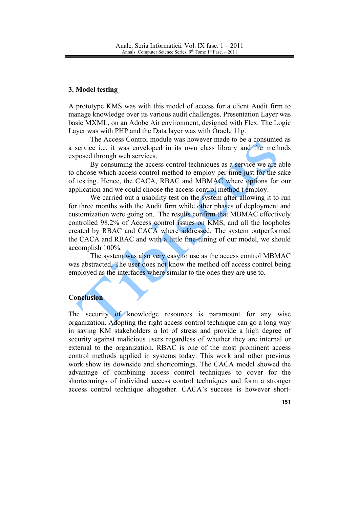#### 3. Model testing

A prototype KMS was with this model of access for a client Audit firm to manage knowledge over its various audit challenges. Presentation Layer was basic MXML, on an Adobe Air environment, designed with Flex. The Logic Layer was with PHP and the Data layer was with Oracle 11g.

The Access Control module was however made to be a consumed as a service i.e. it was enveloped in its own class library and the methods exposed through web services.

By consuming the access control techniques as a service we are able to choose which access control method to employ per time just for the sake of testing. Hence, the CACA, RBAC and MBMAC where options for our application and we could choose the access control method t employ.

We carried out a usability test on the system after allowing it to run for three months with the Audit firm while other phases of deployment and customization were going on. The results confirm that MBMAC effectively controlled 98.2% of Access control issues on KMS, and all the loopholes created by RBAC and CACA where addressed. The system outperformed the CACA and RBAC and with a little fine-tuning of our model, we should accomplish 100%.

The system was also very easy to use as the access control MBMAC was abstracted. The user does not know the method off access control being employed as the interfaces where similar to the ones they are use to.

## Conclusion

The security of knowledge resources is paramount for any wise organization. Adopting the right access control technique can go a long way in saving KM stakeholders a lot of stress and provide a high degree of security against malicious users regardless of whether they are internal or external to the organization. RBAC is one of the most prominent access control methods applied in systems today. This work and other previous work show its downside and shortcomings. The CACA model showed the advantage of combining access control techniques to cover for the shortcomings of individual access control techniques and form a stronger access control technique altogether. CACA's success is however short-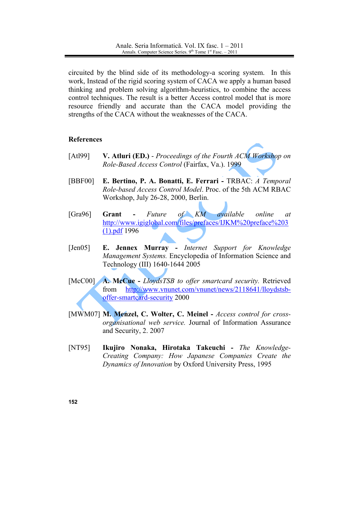circuited by the blind side of its methodology-a scoring system. In this work, Instead of the rigid scoring system of CACA we apply a human based thinking and problem solving algorithm-heuristics, to combine the access control techniques. The result is a better Access control model that is more resource friendly and accurate than the CACA model providing the strengths of the CACA without the weaknesses of the CACA.

#### **References**

- $[At199]$ V. Atluri (ED.) - Proceedings of the Fourth ACM Workshop on Role-Based Access Control (Fairfax, Va.). 1999
- [BBF00] E. Bertino, P. A. Bonatti, E. Ferrari - TRBAC: A Temporal Role-based Access Control Model. Proc. of the 5th ACM RBAC Workshop, July 26-28, 2000, Berlin.
- [ $Gra96$ ] available Grant Future  $of$   $KM$ online  $\alpha t$ http://www.igiglobal.com/files/prefaces/IJKM%20preface%203  $(1)$ .pdf 1996
- $[Jen05]$ E. Jennex Murray - Internet Support for Knowledge Management Systems. Encyclopedia of Information Science and Technology (III) 1640-1644 2005
- $[McCO0]$ A. McCue - LloydsTSB to offer smartcard security. Retrieved http://www.vnunet.com/vnunet/news/2118641/lloydstsbfrom offer-smartcard-security 2000
- [MWM07] M. Menzel, C. Wolter, C. Meinel Access control for crossorganisational web service. Journal of Information Assurance and Security, 2. 2007
- **INT951** Ikujiro Nonaka, Hirotaka Takeuchi - The Knowledge-Creating Company: How Japanese Companies Create the Dynamics of Innovation by Oxford University Press, 1995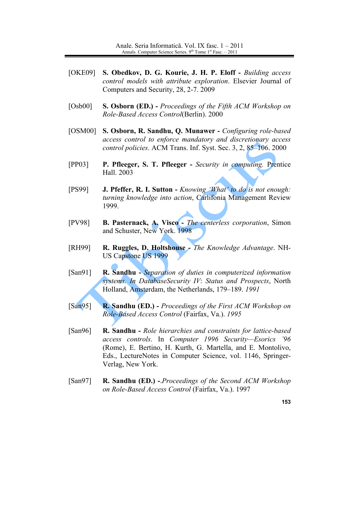- $[OKE09]$ S. Obedkov, D. G. Kourie, J. H. P. Eloff - Building access *control models with attribute exploration.* Elsevier Journal of Computers and Security, 28, 2-7, 2009
- $[Osb00]$ **S. Osborn (ED.)** - Proceedings of the Fifth ACM Workshop on Role-Based Access Control(Berlin). 2000
- $[OSM00]$ S. Osborn, R. Sandhu, Q. Munawer - Configuring role-based access control to enforce mandatory and discretionary access control policies. ACM Trans. Inf. Syst. Sec. 3, 2, 85-106. 2000
- $[PP03]$ P. Pfleeger, S. T. Pfleeger - Security in computing. Prentice Hall. 2003
- **J. Pfeffer, R. I. Sutton Knowing 'What' to do is not enough:** [PS99] turning knowledge into action, Carlifonia Management Review 1999.
- [PV98] **B. Pasternack, A. Visco** - *The centerless corporation*, Simon and Schuster, New York. 1998
- [RH99] R. Ruggles, D. Holtshouse - The Knowledge Advantage. NH-US Capstone US 1999
- $[San91]$ R. Sandhu - Separation of duties in computerized information systems. In DatabaseSecurity IV: Status and Prospects, North Holland, Amsterdam, the Netherlands, 179-189. 1991
- $[San95]$ **R. Sandhu (ED.)** - Proceedings of the First ACM Workshop on Role-Based Access Control (Fairfax, Va.). 1995
- R. Sandhu Role hierarchies and constraints for lattice-based  $[San96]$ access controls. In Computer 1996 Security-Esorics '96 (Rome), E. Bertino, H. Kurth, G. Martella, and E. Montolivo, Eds., LectureNotes in Computer Science, vol. 1146, Springer-Verlag, New York.
- $[San97]$ **R. Sandhu (ED.) -** Proceedings of the Second ACM Workshop on Role-Based Access Control (Fairfax, Va.). 1997